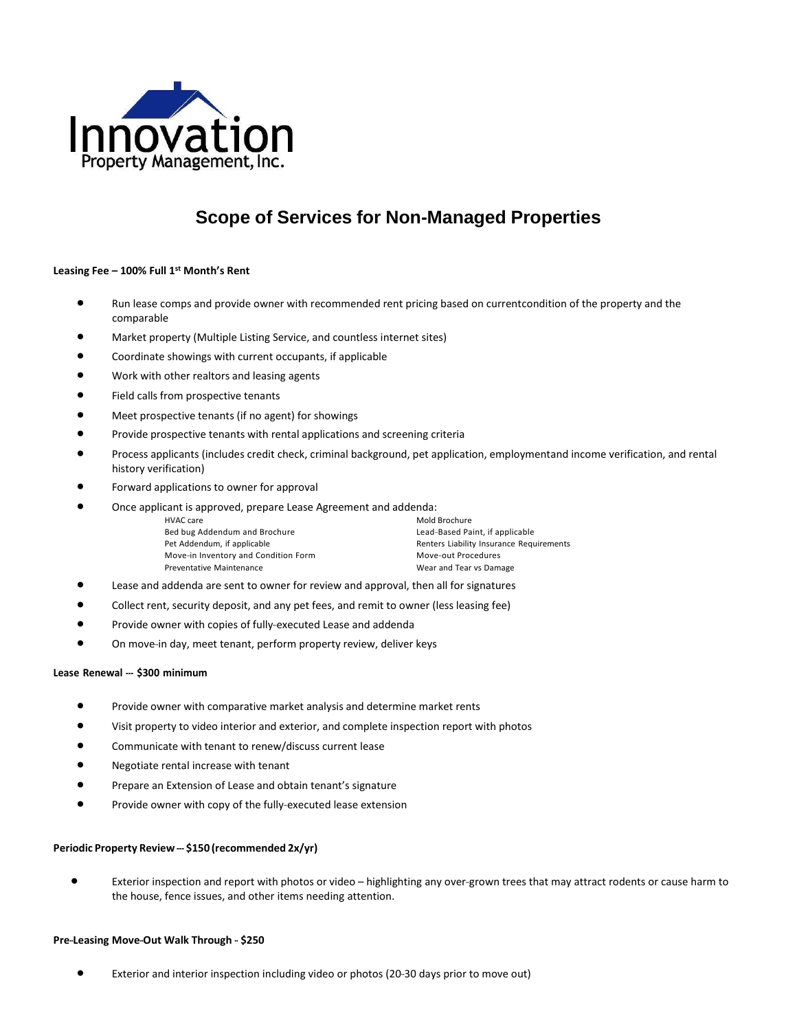

# **Scope of Services for Non-Managed Properties**

# **Leasing Fee – 100% Full 1 st Month's Rent**

- Run lease comps and provide owner with recommended rent pricing based on currentcondition of the property and the comparable
- Market property (Multiple Listing Service, and countless internet sites)
- Coordinate showings with current occupants, if applicable
- Work with other realtors and leasing agents
- Field calls from prospective tenants
- Meet prospective tenants (if no agent) for showings
- Provide prospective tenants with rental applications and screening criteria
- Process applicants (includes credit check, criminal background, pet application, employmentand income verification, and rental history verification)
- Forward applications to owner for approval
- Once applicant is approved, prepare Lease Agreement and addenda:

Bed bug Addendum and Brochure **Lead-Based Paint**, if applicable Move-in Inventory and Condition Form Move-out Procedures Preventative Maintenance Wear and Tear vs Damage

Mold Brochure Pet Addendum, if applicable **Renters Liability Insurance Requirements** 

- Lease and addenda are sent to owner for review and approval, then all for signatures
- Collect rent, security deposit, and any pet fees, and remit to owner (less leasing fee)
- Provide owner with copies of fully-executed Lease and addenda
- On move-in day, meet tenant, perform property review, deliver keys

# **Lease Renewal - \$300 minimum**

- Provide owner with comparative market analysis and determine market rents
- Visit property to video interior and exterior, and complete inspection report with photos
- Communicate with tenant to renew/discuss current lease
- Negotiate rental increase with tenant
- Prepare an Extension of Lease and obtain tenant's signature
- Provide owner with copy of the fully-executed lease extension

# **Periodic Property Review - \$150 (recommended 2x/yr)**

• Exterior inspection and report with photos or video – highlighting any over-grown trees that may attract rodents or cause harm to the house, fence issues, and other items needing attention.

#### **Pre-Leasing Move-Out Walk Through - \$250**

• Exterior and interior inspection including video or photos (20-30 days prior to move out)